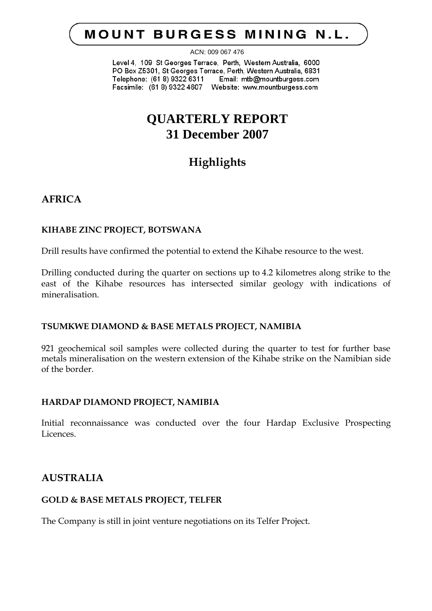# **MOUNT BURGESS MINING N.L.**

ACN: 009 067 476

Level 4, 109 St Georges Terrace, Perth, Western Australia, 6000 PO Box Z5301, St Georges Terrace, Perth, Western Australia, 6831 Telephone: (61 8) 9322 6311 Email: mtb@mountburgess.com 

# **QUARTERLY REPORT 31 December 2007**

# **Highlights**

## **AFRICA**

## **KIHABE ZINC PROJECT, BOTSWANA**

Drill results have confirmed the potential to extend the Kihabe resource to the west.

Drilling conducted during the quarter on sections up to 4.2 kilometres along strike to the east of the Kihabe resources has intersected similar geology with indications of mineralisation.

## **TSUMKWE DIAMOND & BASE METALS PROJECT, NAMIBIA**

921 geochemical soil samples were collected during the quarter to test for further base metals mineralisation on the western extension of the Kihabe strike on the Namibian side of the border.

## **HARDAP DIAMOND PROJECT, NAMIBIA**

Initial reconnaissance was conducted over the four Hardap Exclusive Prospecting Licences.

## **AUSTRALIA**

## **GOLD & BASE METALS PROJECT, TELFER**

The Company is still in joint venture negotiations on its Telfer Project.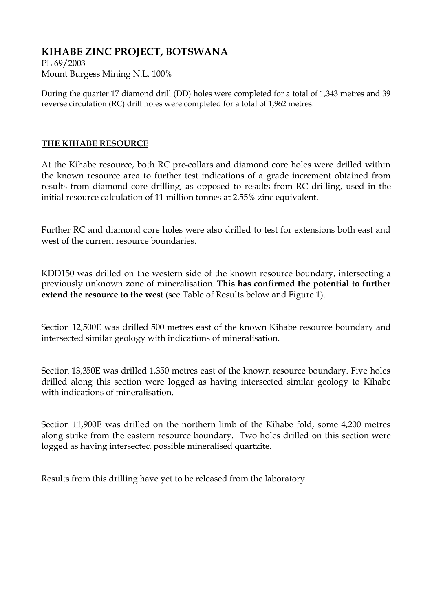## **KIHABE ZINC PROJECT, BOTSWANA**

PL 69/2003 Mount Burgess Mining N.L. 100%

During the quarter 17 diamond drill (DD) holes were completed for a total of 1,343 metres and 39 reverse circulation (RC) drill holes were completed for a total of 1,962 metres.

## **THE KIHABE RESOURCE**

At the Kihabe resource, both RC pre-collars and diamond core holes were drilled within the known resource area to further test indications of a grade increment obtained from results from diamond core drilling, as opposed to results from RC drilling, used in the initial resource calculation of 11 million tonnes at 2.55% zinc equivalent.

Further RC and diamond core holes were also drilled to test for extensions both east and west of the current resource boundaries.

KDD150 was drilled on the western side of the known resource boundary, intersecting a previously unknown zone of mineralisation. **This has confirmed the potential to further extend the resource to the west** (see Table of Results below and Figure 1).

Section 12,500E was drilled 500 metres east of the known Kihabe resource boundary and intersected similar geology with indications of mineralisation.

Section 13,350E was drilled 1,350 metres east of the known resource boundary. Five holes drilled along this section were logged as having intersected similar geology to Kihabe with indications of mineralisation.

Section 11,900E was drilled on the northern limb of the Kihabe fold, some 4,200 metres along strike from the eastern resource boundary. Two holes drilled on this section were logged as having intersected possible mineralised quartzite.

Results from this drilling have yet to be released from the laboratory.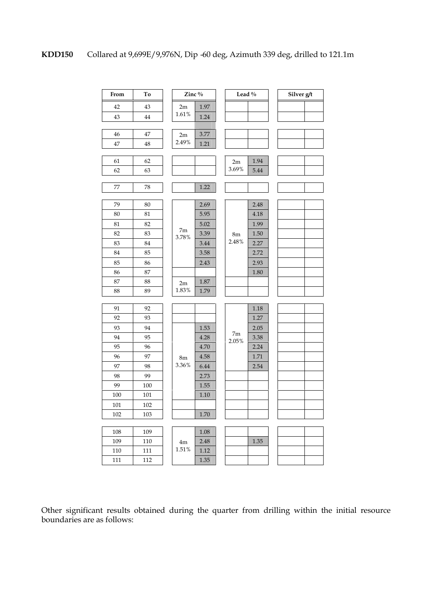

Other significant results obtained during the quarter from drilling within the initial resource boundaries are as follows: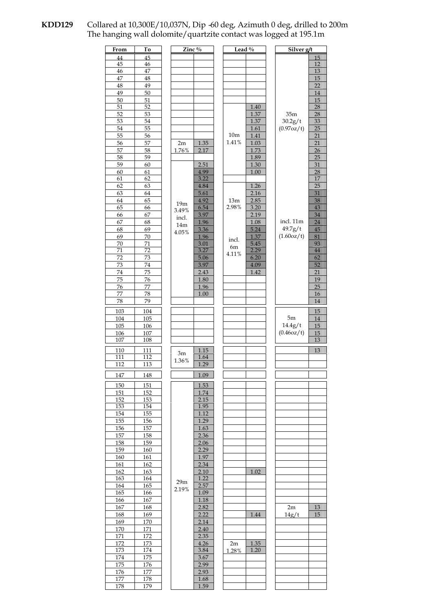#### **KDD129** Collared at 10,300E/10,037N, Dip -60 deg, Azimuth 0 deg, drilled to 200m The hanging wall dolomite/quartzite contact was logged at 195.1m

| Zinc $\sqrt[6]{\cdot}$<br>Lead $\overline{\%}$<br>From<br>Τо   | Silver g/t                  |
|----------------------------------------------------------------|-----------------------------|
| 45<br>44                                                       | 15                          |
| 45<br>46                                                       | 12                          |
| 47<br>46                                                       | 13                          |
| 47<br>48                                                       | 15                          |
| 48<br>49<br>49<br>50                                           | 22<br>14                    |
| 50<br>51                                                       | 15                          |
| 1.40<br>51<br>52                                               | 28                          |
| 1.37<br>52<br>53                                               | 28<br>35m                   |
| 53<br>54<br>1.37                                               | 30.2g/t<br>33               |
| 54<br>55<br>1.61                                               | 25<br>(0.97oz/t)            |
| 10 <sub>m</sub><br>55<br>1.41<br>56                            | 21                          |
| 1.41%<br>57<br>1.35<br>1.03<br>56<br>2m                        | 21                          |
| 57<br>1.73<br>58<br>1.76%<br>2.17                              | 26                          |
| 58<br>59<br>1.89                                               | 25                          |
| 59<br>60<br>2.51<br>1.30                                       | 31                          |
| 60<br>61<br>4.99<br>1.00                                       | 28                          |
| 61<br>62<br>3.22                                               | 17<br>25                    |
| 62<br>63<br>4.84<br>1.26<br>63<br>64<br>5.61<br>2.16           | 31                          |
| 65<br>4.92<br>2.85<br>64<br>13m                                | 38                          |
| 19 <sub>m</sub><br>2.98%<br>65<br>6.54<br>3.20<br>66           | 43                          |
| 3.49%<br>67<br>3.97<br>2.19<br>66                              | 34                          |
| incl.<br>1.96<br>67<br>68<br>1.08                              | incl. 11m<br>24             |
| 14m<br>68<br>69<br>3.36<br>5.24<br>4.05%                       | 49.7g/t<br>45               |
| 69<br>70<br>1.96<br>1.37<br>incl.                              | (1.60oz/t)<br>81            |
| 5.45<br>70<br>71<br>3.01<br>6m                                 | 93                          |
| 71<br>72<br>3.27<br>2.29<br>4.11%                              | 44                          |
| 6.20<br>72<br>73<br>5.06                                       | 62                          |
| 3.97<br>73<br>74<br>4.09                                       | 52                          |
| 74<br>75<br>2.43<br>1.42                                       | 21                          |
| 1.80<br>75<br>76                                               | 19                          |
| 1.96<br>76<br>77<br>77<br>78<br>1.00                           | 25<br>16                    |
| 78<br>79                                                       | 14                          |
|                                                                |                             |
| 103<br>104                                                     | 15                          |
| 104<br>105                                                     | 5m<br>14                    |
| 105<br>106                                                     | 14.4g/t<br>15<br>(0.46oz/t) |
| 107<br>106<br>107<br>108                                       | 15<br>13                    |
|                                                                |                             |
| 110<br>111<br>1.15<br>3m                                       | 13                          |
| 111<br>112<br>1.64<br>1.36%                                    |                             |
| 1.29<br>112<br>113                                             |                             |
| 147<br>1.09<br>148                                             |                             |
| 1.53<br>151<br>150                                             |                             |
| 151<br>152<br>1.74                                             |                             |
| 152<br>2.15<br>153                                             |                             |
| 153<br>1.95<br>154                                             |                             |
| 155<br>1.12<br>154                                             |                             |
| 1.29<br>155<br>156                                             |                             |
| 156<br>157<br>1.63                                             |                             |
| 2.36<br>157<br>158                                             |                             |
| 158<br>159<br>2.06<br>159<br>2.29<br>160                       |                             |
| 1.97<br>160<br>161                                             |                             |
| 161<br>162<br>2.34                                             |                             |
| 1.02<br>162<br>163<br>2.10                                     |                             |
| 1.22<br>163<br>164                                             |                             |
| 29 <sub>m</sub><br>164<br>165<br>2.57                          |                             |
| 2.19%<br>165<br>1.09<br>166                                    |                             |
| 166<br>$\overline{167}$<br>1.18                                |                             |
| 167<br>2.82<br>168                                             | 2m<br>13                    |
| 2.22<br>168<br>169<br>1.44                                     | 15<br>14g/t                 |
| 169<br>170<br>2.14                                             |                             |
| 171<br>170<br>2.40                                             |                             |
| 171<br>172<br>2.35                                             |                             |
| 172<br>173<br>4.26<br>1.35<br>2m<br>173<br>174<br>3.84<br>1.20 |                             |
| 1.28%                                                          |                             |
|                                                                |                             |
| 174<br>175<br>3.67                                             |                             |
| 175<br>176<br>2.99                                             |                             |
| 176<br>177<br>2.93<br>177<br>178<br>1.68                       |                             |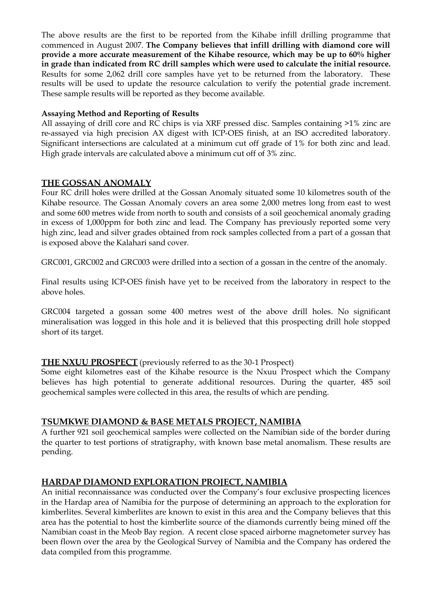The above results are the first to be reported from the Kihabe infill drilling programme that commenced in August 2007. **The Company believes that infill drilling with diamond core will provide a more accurate measurement of the Kihabe resource, which may be up to 60% higher in grade than indicated from RC drill samples which were used to calculate the initial resource.** Results for some 2,062 drill core samples have yet to be returned from the laboratory. These results will be used to update the resource calculation to verify the potential grade increment. These sample results will be reported as they become available.

### **Assaying Method and Reporting of Results**

All assaying of drill core and RC chips is via XRF pressed disc. Samples containing >1% zinc are re-assayed via high precision AX digest with ICP-OES finish, at an ISO accredited laboratory. Significant intersections are calculated at a minimum cut off grade of 1% for both zinc and lead. High grade intervals are calculated above a minimum cut off of 3% zinc.

### **THE GOSSAN ANOMALY**

Four RC drill holes were drilled at the Gossan Anomaly situated some 10 kilometres south of the Kihabe resource. The Gossan Anomaly covers an area some 2,000 metres long from east to west and some 600 metres wide from north to south and consists of a soil geochemical anomaly grading in excess of 1,000ppm for both zinc and lead. The Company has previously reported some very high zinc, lead and silver grades obtained from rock samples collected from a part of a gossan that is exposed above the Kalahari sand cover.

GRC001, GRC002 and GRC003 were drilled into a section of a gossan in the centre of the anomaly.

Final results using ICP-OES finish have yet to be received from the laboratory in respect to the above holes.

GRC004 targeted a gossan some 400 metres west of the above drill holes. No significant mineralisation was logged in this hole and it is believed that this prospecting drill hole stopped short of its target.

## **THE NXUU PROSPECT** (previously referred to as the 30-1 Prospect)

Some eight kilometres east of the Kihabe resource is the Nxuu Prospect which the Company believes has high potential to generate additional resources. During the quarter, 485 soil geochemical samples were collected in this area, the results of which are pending.

## **TSUMKWE DIAMOND & BASE METALS PROJECT, NAMIBIA**

A further 921 soil geochemical samples were collected on the Namibian side of the border during the quarter to test portions of stratigraphy, with known base metal anomalism. These results are pending.

## **HARDAP DIAMOND EXPLORATION PROJECT, NAMIBIA**

An initial reconnaissance was conducted over the Company's four exclusive prospecting licences in the Hardap area of Namibia for the purpose of determining an approach to the exploration for kimberlites. Several kimberlites are known to exist in this area and the Company believes that this area has the potential to host the kimberlite source of the diamonds currently being mined off the Namibian coast in the Meob Bay region. A recent close spaced airborne magnetometer survey has been flown over the area by the Geological Survey of Namibia and the Company has ordered the data compiled from this programme.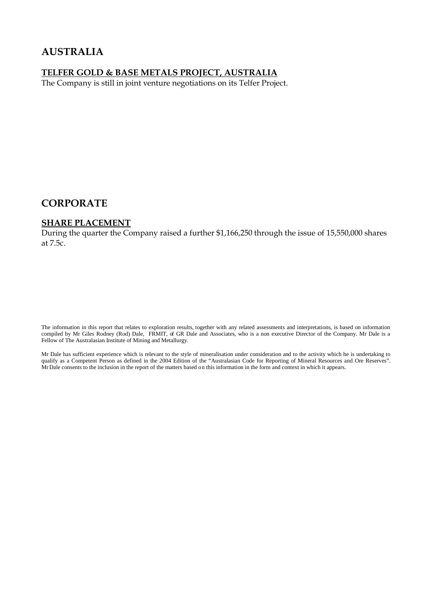## **AUSTRALIA**

## **TELFER GOLD & BASE METALS PROJECT, AUSTRALIA**

The Company is still in joint venture negotiations on its Telfer Project.

## **CORPORATE**

#### **SHARE PLACEMENT**

During the quarter the Company raised a further \$1,166,250 through the issue of 15,550,000 shares at 7.5c.

The information in this report that relates to exploration results, together with any related assessments and interpretations, is based on information compiled by Mr Giles Rodney (Rod) Dale, FRMIT, of GR Dale and Associates, who is a non executive Director of the Company. Mr Dale is a Fellow of The Australasian Institute of Mining and Metallurgy.

Mr Dale has sufficient experience which is relevant to the style of mineralisation under consideration and to the activity which he is undertaking to qualify as a Competent Person as defined in the 2004 Edition of the "Australasian Code for Reporting of Mineral Resources and Ore Reserves". MrDale consents to the inclusion in the report of the matters based on this information in the form and context in which it appears.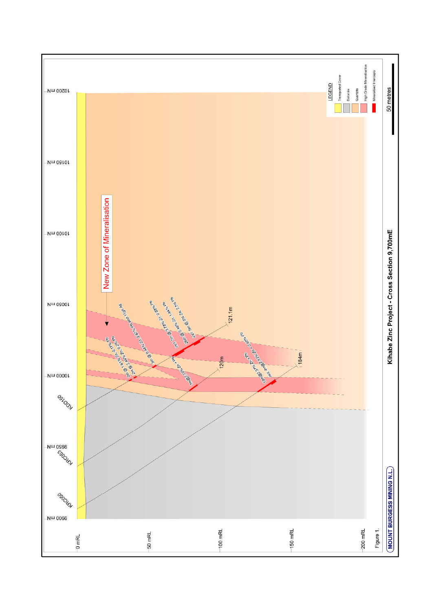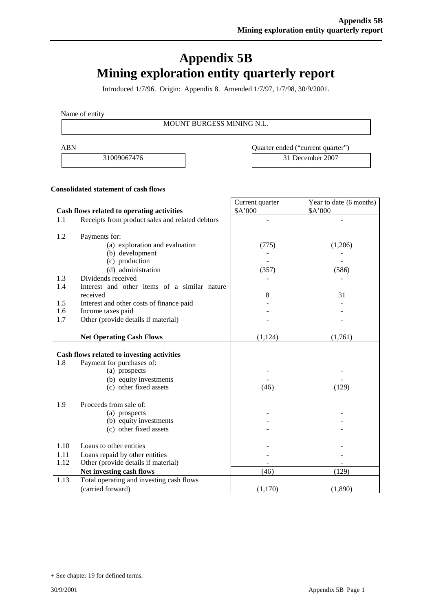# **Appendix 5B Mining exploration entity quarterly report**

Introduced 1/7/96. Origin: Appendix 8. Amended 1/7/97, 1/7/98, 30/9/2001.

Name of entity

MOUNT BURGESS MINING N.L.

ABN Quarter ended ("current quarter")

31009067476 31 December 2007

#### **Consolidated statement of cash flows**

|      |                                                 | Current quarter | Year to date (6 months) |
|------|-------------------------------------------------|-----------------|-------------------------|
|      | Cash flows related to operating activities      | \$A'000         | \$A'000                 |
| 1.1  | Receipts from product sales and related debtors |                 |                         |
| 1.2  | Payments for:                                   |                 |                         |
|      | (a) exploration and evaluation                  | (775)           | (1,206)                 |
|      | (b) development                                 |                 |                         |
|      | (c) production                                  |                 |                         |
|      | (d) administration                              | (357)           | (586)                   |
| 1.3  | Dividends received                              |                 |                         |
| 1.4  | Interest and other items of a similar nature    |                 |                         |
|      | received                                        | 8               | 31                      |
| 1.5  | Interest and other costs of finance paid        |                 |                         |
| 1.6  | Income taxes paid                               |                 |                         |
| 1.7  | Other (provide details if material)             |                 |                         |
|      |                                                 |                 |                         |
|      | <b>Net Operating Cash Flows</b>                 | (1,124)         | (1,761)                 |
|      | Cash flows related to investing activities      |                 |                         |
| 1.8  | Payment for purchases of:                       |                 |                         |
|      | (a) prospects                                   |                 |                         |
|      | (b) equity investments                          |                 |                         |
|      | (c) other fixed assets                          | (46)            | (129)                   |
| 1.9  | Proceeds from sale of:                          |                 |                         |
|      | (a) prospects                                   |                 |                         |
|      | (b) equity investments                          |                 |                         |
|      | (c) other fixed assets                          |                 |                         |
| 1.10 | Loans to other entities                         |                 |                         |
| 1.11 | Loans repaid by other entities                  |                 |                         |
| 1.12 | Other (provide details if material)             |                 |                         |
|      | Net investing cash flows                        | (46)            | (129)                   |
| 1.13 | Total operating and investing cash flows        |                 |                         |
|      | (carried forward)                               | (1,170)         | (1,890)                 |

<sup>+</sup> See chapter 19 for defined terms.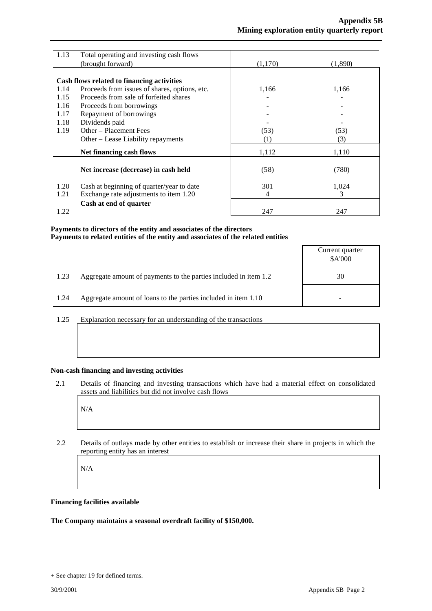| 1.13 | Total operating and investing cash flows      |         |         |
|------|-----------------------------------------------|---------|---------|
|      | (brought forward)                             | (1,170) | (1,890) |
|      |                                               |         |         |
|      | Cash flows related to financing activities    |         |         |
| 1.14 | Proceeds from issues of shares, options, etc. | 1,166   | 1,166   |
| 1.15 | Proceeds from sale of forfeited shares        |         |         |
| 1.16 | Proceeds from borrowings                      |         |         |
| 1.17 | Repayment of borrowings                       |         |         |
| 1.18 | Dividends paid                                |         |         |
| 1.19 | Other – Placement Fees                        | (53)    | (53)    |
|      | Other – Lease Liability repayments            | (1)     | (3)     |
|      | Net financing cash flows                      | 1,112   | 1,110   |
|      |                                               |         |         |
|      | Net increase (decrease) in cash held          | (58)    | (780)   |
| 1.20 | Cash at beginning of quarter/year to date     | 301     | 1,024   |
| 1.21 | Exchange rate adjustments to item 1.20        | 4       | 3       |
|      | Cash at end of quarter                        |         |         |
| 1.22 |                                               | 247     | 247     |

#### **Payments to directors of the entity and associates of the directors Payments to related entities of the entity and associates of the related entities**

|      |                                                                  | Current quarter<br>\$A'000 |
|------|------------------------------------------------------------------|----------------------------|
| 1.23 | Aggregate amount of payments to the parties included in item 1.2 | 30                         |
| 1.24 | Aggregate amount of loans to the parties included in item 1.10   |                            |
|      |                                                                  |                            |

1.25 Explanation necessary for an understanding of the transactions

#### **Non-cash financing and investing activities**

2.1 Details of financing and investing transactions which have had a material effect on consolidated assets and liabilities but did not involve cash flows

N/A

2.2 Details of outlays made by other entities to establish or increase their share in projects in which the reporting entity has an interest

N/A

#### **Financing facilities available**

#### **The Company maintains a seasonal overdraft facility of \$150,000.**

<sup>+</sup> See chapter 19 for defined terms.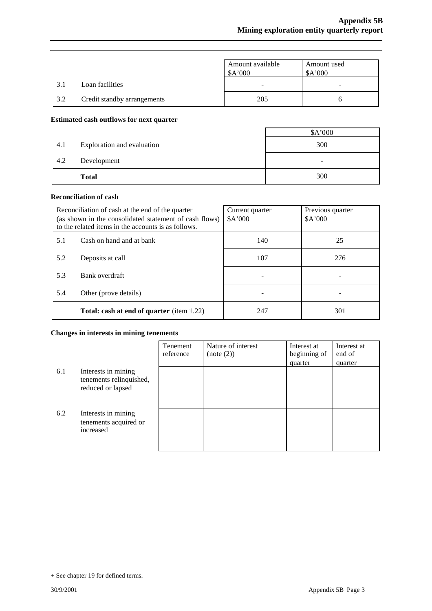|     |                             | Amount available<br>\$A'000 | Amount used<br>\$A'000   |
|-----|-----------------------------|-----------------------------|--------------------------|
| 3.1 | Loan facilities             | -                           | $\overline{\phantom{0}}$ |
| 3.2 | Credit standby arrangements | 205                         |                          |

#### **Estimated cash outflows for next quarter**

|     |                            | \$A'000                  |
|-----|----------------------------|--------------------------|
| 4.1 | Exploration and evaluation | 300                      |
| 4.2 | Development                | $\overline{\phantom{a}}$ |
|     | <b>Total</b>               | 300                      |

### **Reconciliation of cash**

| Reconciliation of cash at the end of the quarter<br>(as shown in the consolidated statement of cash flows)<br>to the related items in the accounts is as follows. |                                                  | Current quarter<br>\$A'000 | Previous quarter<br>\$A'000 |
|-------------------------------------------------------------------------------------------------------------------------------------------------------------------|--------------------------------------------------|----------------------------|-----------------------------|
| 5.1                                                                                                                                                               | Cash on hand and at bank                         | 140                        | 25                          |
| 5.2                                                                                                                                                               | Deposits at call                                 | 107                        | 276                         |
| 5.3                                                                                                                                                               | Bank overdraft                                   |                            |                             |
| 5.4                                                                                                                                                               | Other (prove details)                            |                            |                             |
|                                                                                                                                                                   | <b>Total: cash at end of quarter</b> (item 1.22) | 247                        | 301                         |

#### **Changes in interests in mining tenements**

|     |                                                                     | Tenement<br>reference | Nature of interest<br>(note (2)) | Interest at<br>beginning of<br>quarter | Interest at<br>end of<br>quarter |
|-----|---------------------------------------------------------------------|-----------------------|----------------------------------|----------------------------------------|----------------------------------|
| 6.1 | Interests in mining<br>tenements relinquished,<br>reduced or lapsed |                       |                                  |                                        |                                  |
| 6.2 | Interests in mining<br>tenements acquired or<br>increased           |                       |                                  |                                        |                                  |

<sup>+</sup> See chapter 19 for defined terms.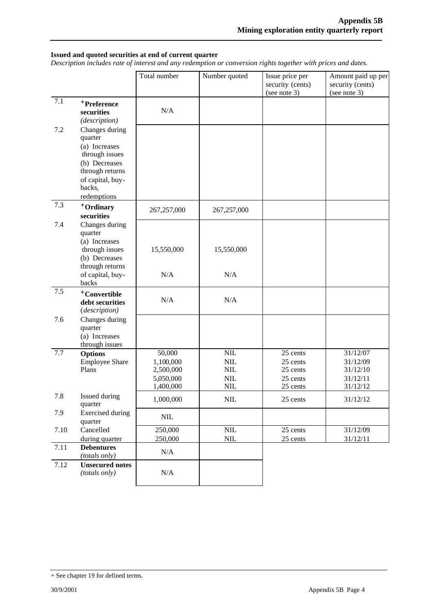#### **Issued and quoted securities at end of current quarter**

*Description includes rate of interest and any redemption or conversion rights together with prices and dates.*

|         |                                                                                                                                               | Total number                                               | Number quoted                                         | Issue price per<br>security (cents)<br>(see note 3)      | Amount paid up per<br>security (cents)<br>(see note 3)   |
|---------|-----------------------------------------------------------------------------------------------------------------------------------------------|------------------------------------------------------------|-------------------------------------------------------|----------------------------------------------------------|----------------------------------------------------------|
| 7.1     | +Preference<br>securities<br>(description)                                                                                                    | N/A                                                        |                                                       |                                                          |                                                          |
| $7.2\,$ | Changes during<br>quarter<br>(a) Increases<br>through issues<br>(b) Decreases<br>through returns<br>of capital, buy-<br>backs,<br>redemptions |                                                            |                                                       |                                                          |                                                          |
| 7.3     | +Ordinary<br>securities                                                                                                                       | 267,257,000                                                | 267, 257, 000                                         |                                                          |                                                          |
| 7.4     | Changes during<br>quarter<br>(a) Increases<br>through issues<br>(b) Decreases<br>through returns<br>of capital, buy-<br>backs                 | 15,550,000<br>N/A                                          | 15,550,000<br>N/A                                     |                                                          |                                                          |
| 7.5     | <sup>+</sup> Convertible<br>debt securities<br>(description)                                                                                  | N/A                                                        | N/A                                                   |                                                          |                                                          |
| 7.6     | Changes during<br>quarter<br>(a) Increases<br>through issues                                                                                  |                                                            |                                                       |                                                          |                                                          |
| 7.7     | <b>Options</b><br><b>Employee Share</b><br>Plans                                                                                              | 50,000<br>1,100,000<br>2,500,000<br>5,050,000<br>1,400,000 | $\mbox{NIL}$<br>$NIL$<br>$\text{NIL}$<br>$NIL$<br>NIL | 25 cents<br>25 cents<br>25 cents<br>25 cents<br>25 cents | 31/12/07<br>31/12/09<br>31/12/10<br>31/12/11<br>31/12/12 |
| 7.8     | Issued during<br>quarter                                                                                                                      | 1,000,000                                                  | $\text{NIL}$                                          | 25 cents                                                 | 31/12/12                                                 |
| 7.9     | <b>Exercised</b> during<br>quarter                                                                                                            | $\text{NIL}$                                               |                                                       |                                                          |                                                          |
| 7.10    | Cancelled<br>during quarter                                                                                                                   | 250,000<br>250,000                                         | $NIL$<br>$\mbox{NIL}$                                 | 25 cents<br>25 cents                                     | 31/12/09<br>31/12/11                                     |
| 7.11    | <b>Debentures</b><br>(totals only)                                                                                                            | N/A                                                        |                                                       |                                                          |                                                          |
| 7.12    | <b>Unsecured notes</b><br>(totals only)                                                                                                       | N/A                                                        |                                                       |                                                          |                                                          |

<sup>+</sup> See chapter 19 for defined terms.